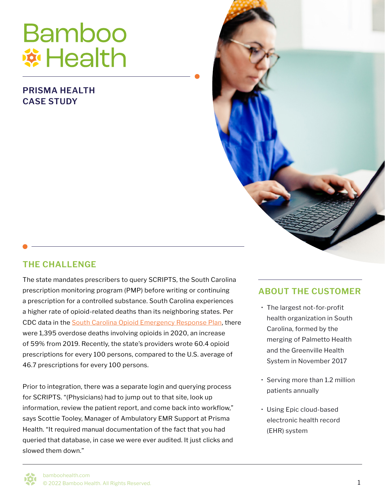# **Bamboo Wi Health**

#### **PRISMA HEALTH CASE STUDY**

#### **THE CHALLENGE**

The state mandates prescribers to query SCRIPTS, the South Carolina prescription monitoring program (PMP) before writing or continuing a prescription for a controlled substance. South Carolina experiences a higher rate of opioid-related deaths than its neighboring states. Per CDC data in the [South Carolina Opioid Emergency Response Plan,](https://www.scemd.org/media/1432/oert_baseplan_final.pdf) there were 1,395 overdose deaths involving opioids in 2020, an increase of 59% from 2019. Recently, the state's providers wrote 60.4 opioid prescriptions for every 100 persons, compared to the U.S. average of 46.7 prescriptions for every 100 persons.

Prior to integration, there was a separate login and querying process for SCRIPTS. "(Physicians) had to jump out to that site, look up information, review the patient report, and come back into workflow," says Scottie Tooley, Manager of Ambulatory EMR Support at Prisma Health. "It required manual documentation of the fact that you had queried that database, in case we were ever audited. It just clicks and slowed them down."

#### **ABOUT THE CUSTOMER**

- The largest not-for-profit health organization in South Carolina, formed by the merging of Palmetto Health and the Greenville Health System in November 2017
- Serving more than 1.2 million patients annually
- Using Epic cloud-based electronic health record (EHR) system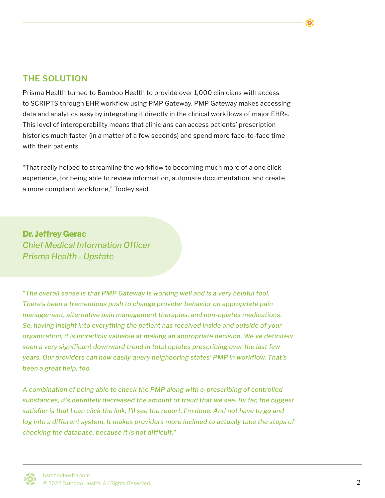#### **THE SOLUTION**

Prisma Health turned to Bamboo Health to provide over 1,000 clinicians with access to SCRIPTS through EHR workflow using PMP Gateway. PMP Gateway makes accessing data and analytics easy by integrating it directly in the clinical workflows of major EHRs. This level of interoperability means that clinicians can access patients' prescription histories much faster (in a matter of a few seconds) and spend more face-to-face time with their patients.

"That really helped to streamline the workflow to becoming much more of a one click experience, for being able to review information, automate documentation, and create a more compliant workforce," Tooley said.

**Dr. Jeffrey Gerac** *Chief Medical Information Officer Prisma Health - Upstate*

*"The overall sense is that PMP Gateway is working well and is a very helpful tool. There's been a tremendous push to change provider behavior on appropriate pain management, alternative pain management therapies, and non-opiates medications. So, having insight into everything the patient has received inside and outside of your organization, it is incredibly valuable at making an appropriate decision. We've definitely seen a very significant downward trend in total opiates prescribing over the last few years. Our providers can now easily query neighboring states' PMP in workflow. That's been a great help, too.* 

*A combination of being able to check the PMP along with e-prescribing of controlled substances, it's definitely decreased the amount of fraud that we see. By far, the biggest satisfier is that I can click the link, I'll see the report, I'm done. And not have to go and*  log into a different system. It makes providers more inclined to actually take the steps of *checking the database, because it is not difficult."*